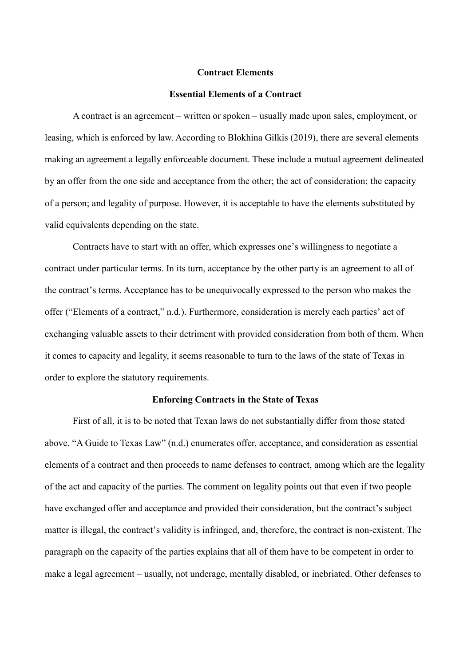#### **Contract Elements**

#### **Essential Elements of a Contract**

A contract is an agreement – written or spoken – usually made upon sales, employment, or leasing, which is enforced by law. According to Blokhina Gilkis (2019), there are several elements making an agreement a legally enforceable document. These include a mutual agreement delineated by an offer from the one side and acceptance from the other; the act of consideration; the capacity of a person; and legality of purpose. However, it is acceptable to have the elements substituted by valid equivalents depending on the state.

Contracts have to start with an offer, which expresses one's willingness to negotiate a contract under particular terms. In its turn, acceptance by the other party is an agreement to all of the contract's terms. Acceptance has to be unequivocally expressed to the person who makes the offer ("Elements of a contract," n.d.). Furthermore, consideration is merely each parties' act of exchanging valuable assets to their detriment with provided consideration from both of them. When it comes to capacity and legality, it seems reasonable to turn to the laws of the state of Texas in order to explore the statutory requirements.

#### **Enforcing Contracts in the State of Texas**

First of all, it is to be noted that Texan laws do not substantially differ from those stated above. "A Guide to Texas Law" (n.d.) enumerates offer, acceptance, and consideration as essential elements of a contract and then proceeds to name defenses to contract, among which are the legality of the act and capacity of the parties. The comment on legality points out that even if two people have exchanged offer and acceptance and provided their consideration, but the contract's subject matter is illegal, the contract's validity is infringed, and, therefore, the contract is non-existent. The paragraph on the capacity of the parties explains that all of them have to be competent in order to make a legal agreement – usually, not underage, mentally disabled, or inebriated. Other defenses to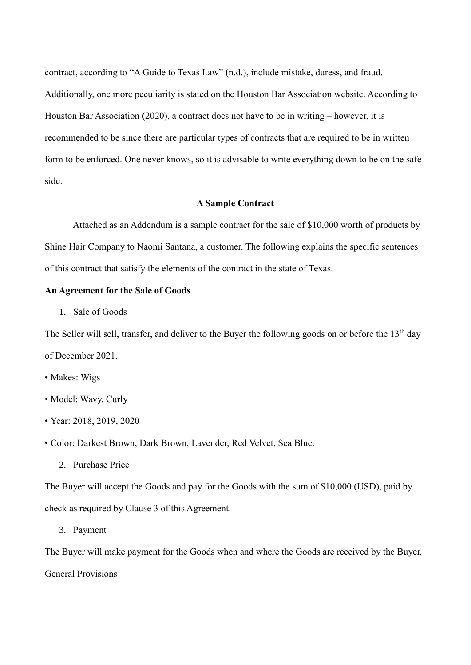contract, according to "A Guide to Texas Law" (n.d.), include mistake, duress, and fraud. Additionally, one more peculiarity is stated on the Houston Bar Association website. According to Houston Bar Association (2020), a contract does not have to be in writing – however, it is recommended to be since there are particular types of contracts that are required to be in written form to be enforced. One never knows, so it is advisable to write everything down to be on the safe side.

### **A Sample Contract**

Attached as an Addendum is a sample contract for the sale of \$10,000 worth of products by Shine Hair Company to Naomi Santana, a customer. The following explains the specific sentences of this contract that satisfy the elements of the contract in the state of Texas.

# **An Agreement for the Sale of Goods**

1. Sale of Goods

The Seller will sell, transfer, and deliver to the Buyer the following goods on or before the 13<sup>th</sup> day of December 2021.

- Makes: Wigs
- Model: Wavy, Curly
- Year: 2018, 2019, 2020
- Color: Darkest Brown, Dark Brown, Lavender, Red Velvet, Sea Blue.
	- 2. Purchase Price

The Buyer will accept the Goods and pay for the Goods with the sum of \$10,000 (USD), paid by check as required by Clause 3 of this Agreement.

3. Payment

The Buyer will make payment for the Goods when and where the Goods are received by the Buyer. General Provisions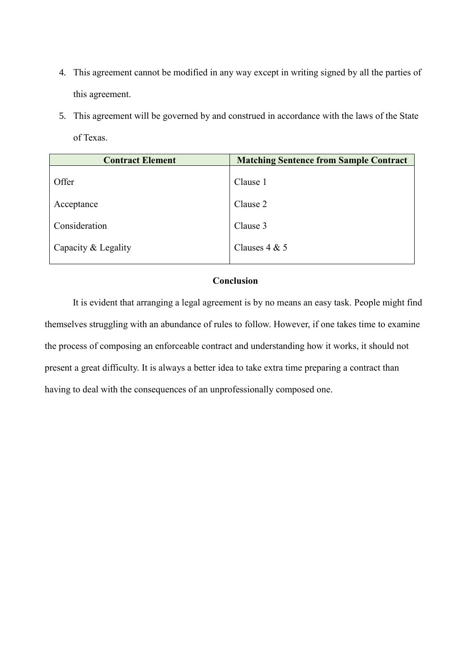- 4. This agreement cannot be modified in any way except in writing signed by all the parties of this agreement.
- 5. This agreement will be governed by and construed in accordance with the laws of the State of Texas.

| <b>Contract Element</b> | <b>Matching Sentence from Sample Contract</b> |
|-------------------------|-----------------------------------------------|
| Offer                   | Clause 1                                      |
| Acceptance              | Clause 2                                      |
| Consideration           | Clause 3                                      |
| Capacity & Legality     | Clauses $4 & 5$                               |
|                         |                                               |

## **Conclusion**

It is evident that arranging a legal agreement is by no means an easy task. People might find themselves struggling with an abundance of rules to follow. However, if one takes time to examine the process of composing an enforceable contract and understanding how it works, it should not present a great difficulty. It is always a better idea to take extra time preparing a contract than having to deal with the consequences of an unprofessionally composed one.